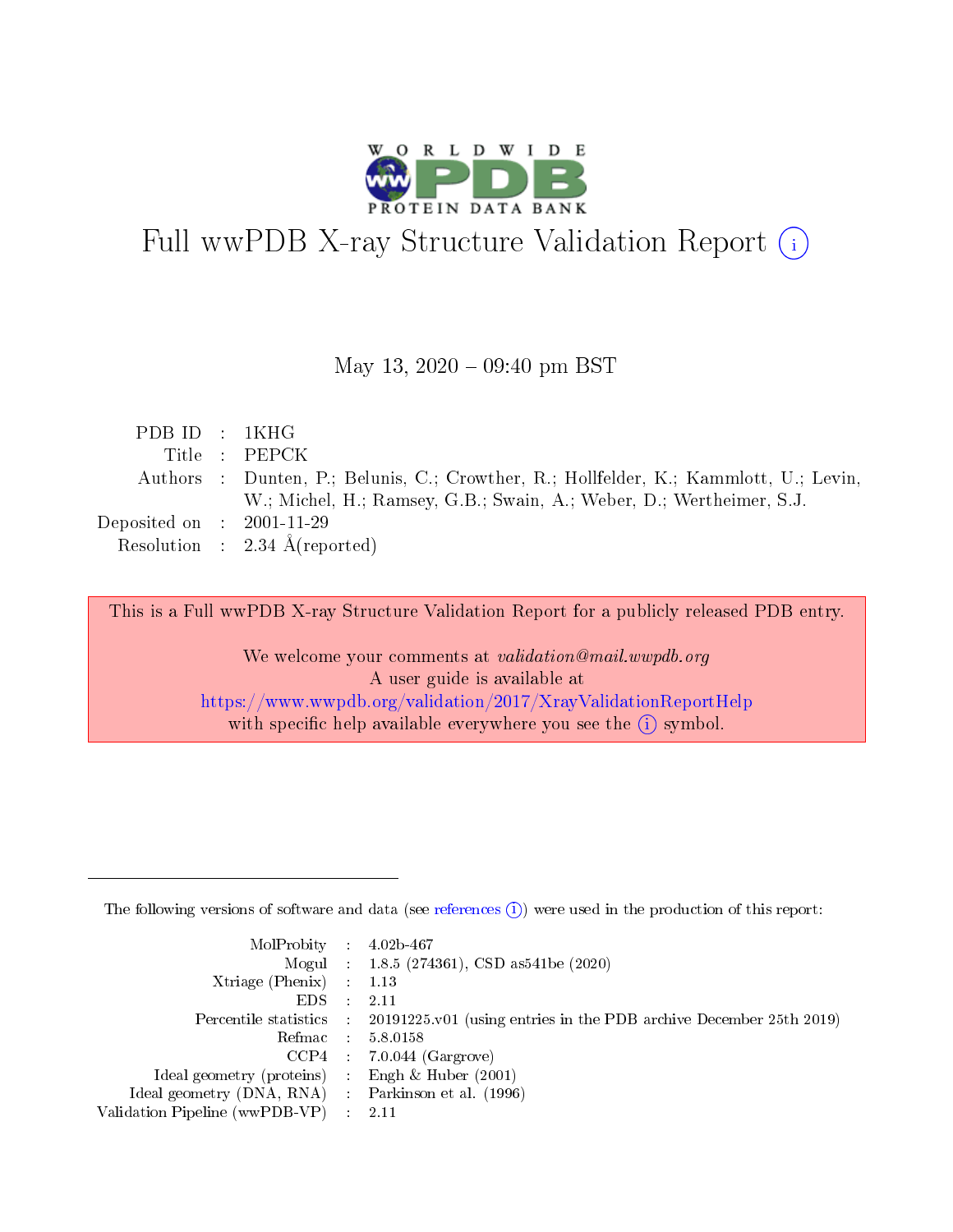

# Full wwPDB X-ray Structure Validation Report (i)

#### May 13,  $2020 - 09:40$  pm BST

| PDB ID : 1KHG                        |                                                                                       |
|--------------------------------------|---------------------------------------------------------------------------------------|
|                                      | Title : PEPCK                                                                         |
|                                      | Authors : Dunten, P.; Belunis, C.; Crowther, R.; Hollfelder, K.; Kammlott, U.; Levin, |
|                                      | W.; Michel, H.; Ramsey, G.B.; Swain, A.; Weber, D.; Wertheimer, S.J.                  |
| Deposited on $\therefore$ 2001-11-29 |                                                                                       |
|                                      | Resolution : $2.34 \text{ Å}$ (reported)                                              |

This is a Full wwPDB X-ray Structure Validation Report for a publicly released PDB entry.

We welcome your comments at validation@mail.wwpdb.org A user guide is available at <https://www.wwpdb.org/validation/2017/XrayValidationReportHelp> with specific help available everywhere you see the  $(i)$  symbol.

The following versions of software and data (see [references](https://www.wwpdb.org/validation/2017/XrayValidationReportHelp#references)  $(1)$ ) were used in the production of this report:

| $MolProbability$ : 4.02b-467                      |                              |                                                                                            |
|---------------------------------------------------|------------------------------|--------------------------------------------------------------------------------------------|
|                                                   |                              | Mogul : 1.8.5 (274361), CSD as 541be (2020)                                                |
| Xtriage (Phenix) $: 1.13$                         |                              |                                                                                            |
| EDS –                                             | $\sim$                       | -2.11                                                                                      |
|                                                   |                              | Percentile statistics : 20191225.v01 (using entries in the PDB archive December 25th 2019) |
| Refmac : 5.8.0158                                 |                              |                                                                                            |
| CCP4                                              |                              | $7.0.044$ (Gargrove)                                                                       |
| Ideal geometry (proteins)                         | $\mathcal{L}_{\mathrm{eff}}$ | Engh & Huber $(2001)$                                                                      |
| Ideal geometry (DNA, RNA) Parkinson et al. (1996) |                              |                                                                                            |
| Validation Pipeline (wwPDB-VP) : 2.11             |                              |                                                                                            |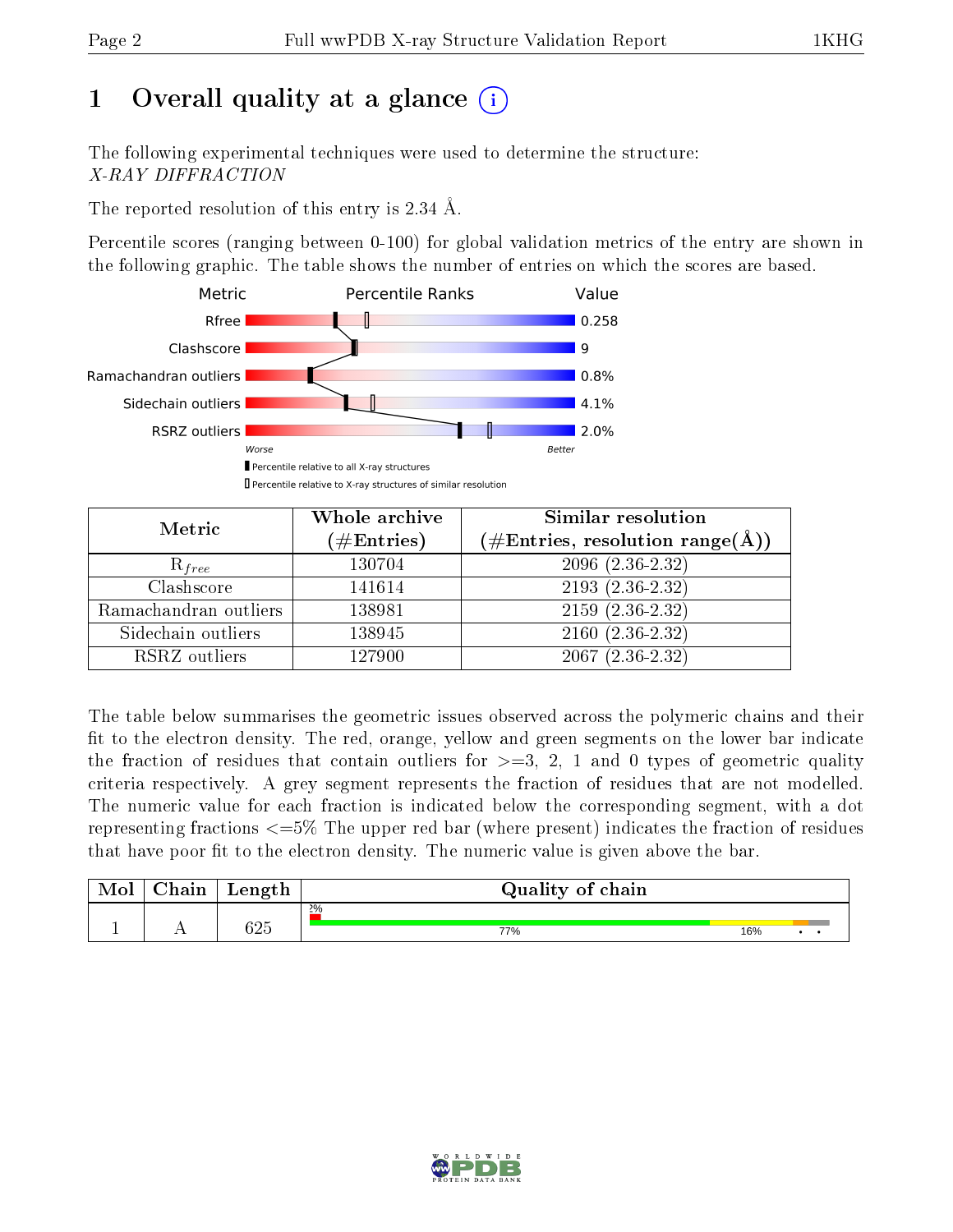# 1 [O](https://www.wwpdb.org/validation/2017/XrayValidationReportHelp#overall_quality)verall quality at a glance  $(i)$

The following experimental techniques were used to determine the structure: X-RAY DIFFRACTION

The reported resolution of this entry is 2.34 Å.

Percentile scores (ranging between 0-100) for global validation metrics of the entry are shown in the following graphic. The table shows the number of entries on which the scores are based.



| Metric                | Whole archive<br>$(\#\mathrm{Entries})$ | Similar resolution<br>$(\#\text{Entries}, \text{resolution range}(\textup{\AA}))$ |  |  |
|-----------------------|-----------------------------------------|-----------------------------------------------------------------------------------|--|--|
| $R_{free}$            | 130704                                  | 2096 (2.36-2.32)                                                                  |  |  |
| Clashscore            | 141614                                  | $2193(2.36-2.32)$                                                                 |  |  |
| Ramachandran outliers | 138981                                  | $2159(2.36-2.32)$                                                                 |  |  |
| Sidechain outliers    | 138945                                  | $2160(2.36-2.32)$                                                                 |  |  |
| RSRZ outliers         | 127900                                  | $2067(2.36-2.32)$                                                                 |  |  |

The table below summarises the geometric issues observed across the polymeric chains and their fit to the electron density. The red, orange, yellow and green segments on the lower bar indicate the fraction of residues that contain outliers for  $\geq =3$ , 2, 1 and 0 types of geometric quality criteria respectively. A grey segment represents the fraction of residues that are not modelled. The numeric value for each fraction is indicated below the corresponding segment, with a dot representing fractions  $\epsilon=5\%$  The upper red bar (where present) indicates the fraction of residues that have poor fit to the electron density. The numeric value is given above the bar.

| Mol | $\cap$ hain | Length | Quality of chain |     |  |
|-----|-------------|--------|------------------|-----|--|
|     |             |        | $2\%$            |     |  |
|     |             | 625    | 77%              | 16% |  |

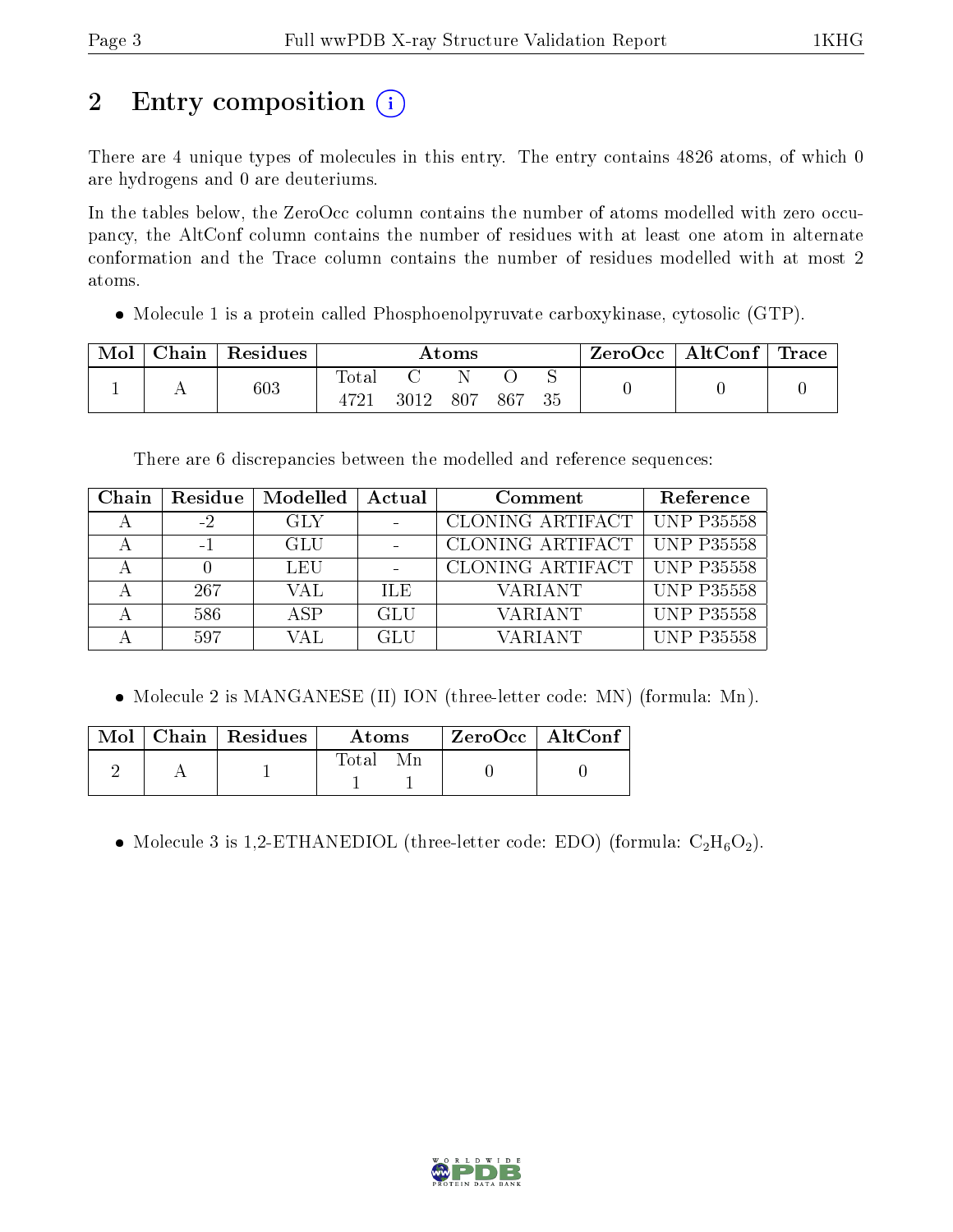# 2 Entry composition (i)

There are 4 unique types of molecules in this entry. The entry contains 4826 atoms, of which 0 are hydrogens and 0 are deuteriums.

In the tables below, the ZeroOcc column contains the number of atoms modelled with zero occupancy, the AltConf column contains the number of residues with at least one atom in alternate conformation and the Trace column contains the number of residues modelled with at most 2 atoms.

• Molecule 1 is a protein called Phosphoenolpyruvate carboxykinase, cytosolic (GTP).

| Mol | Chain Residues | Atoms                    |      |     |        | ZeroOcc∣ | $\mid$ AltConf $\mid$ Trace |  |  |
|-----|----------------|--------------------------|------|-----|--------|----------|-----------------------------|--|--|
|     | $603\,$        | Total<br>$472^{\degree}$ | 3012 | 807 | 867 35 |          |                             |  |  |

There are 6 discrepancies between the modelled and reference sequences:

| Chain | Residue | Modelled | Actual | Comment          | Reference         |
|-------|---------|----------|--------|------------------|-------------------|
|       |         | GLY      |        | CLONING ARTIFACT | UNP P35558        |
|       | $-1$    | GLU      |        | CLONING ARTIFACT | UNP P35558        |
|       |         | LEU      |        | CLONING ARTIFACT | <b>UNP P35558</b> |
|       | 267     | VAL      | ILE.   | VARIANT          | <b>UNP P35558</b> |
|       | 586     | ASP      | GLU    | VARIANT          | <b>UNP P35558</b> |
|       | 597     | VAL      | GLU    | VARIANT          | <b>UNP P35558</b> |

• Molecule 2 is MANGANESE (II) ION (three-letter code: MN) (formula: Mn).

|  | Mol   Chain   Residues | Atoms | ZeroOcc   AltConf |  |
|--|------------------------|-------|-------------------|--|
|  |                        | Total |                   |  |

• Molecule 3 is 1,2-ETHANEDIOL (three-letter code: EDO) (formula:  $C_2H_6O_2$ ).

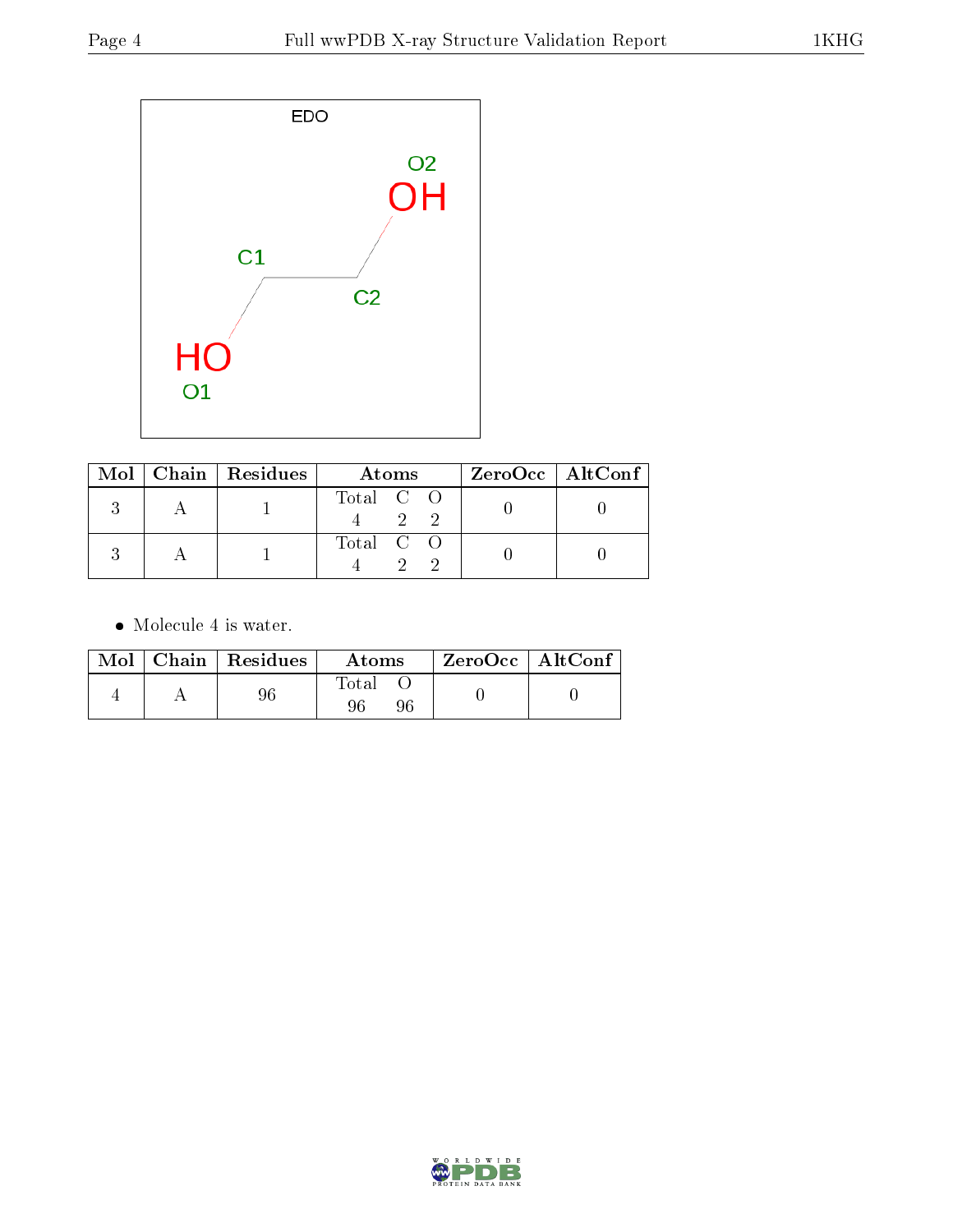

|  | Mol   Chain   Residues | Atoms     | $ZeroOcc$   AltConf |
|--|------------------------|-----------|---------------------|
|  |                        | Total C O |                     |
|  |                        | Total C O |                     |

• Molecule 4 is water.

|  | $Mol$   Chain   Residues | Atoms       | ZeroOcc   AltConf |  |
|--|--------------------------|-------------|-------------------|--|
|  |                          | Fotal<br>96 |                   |  |

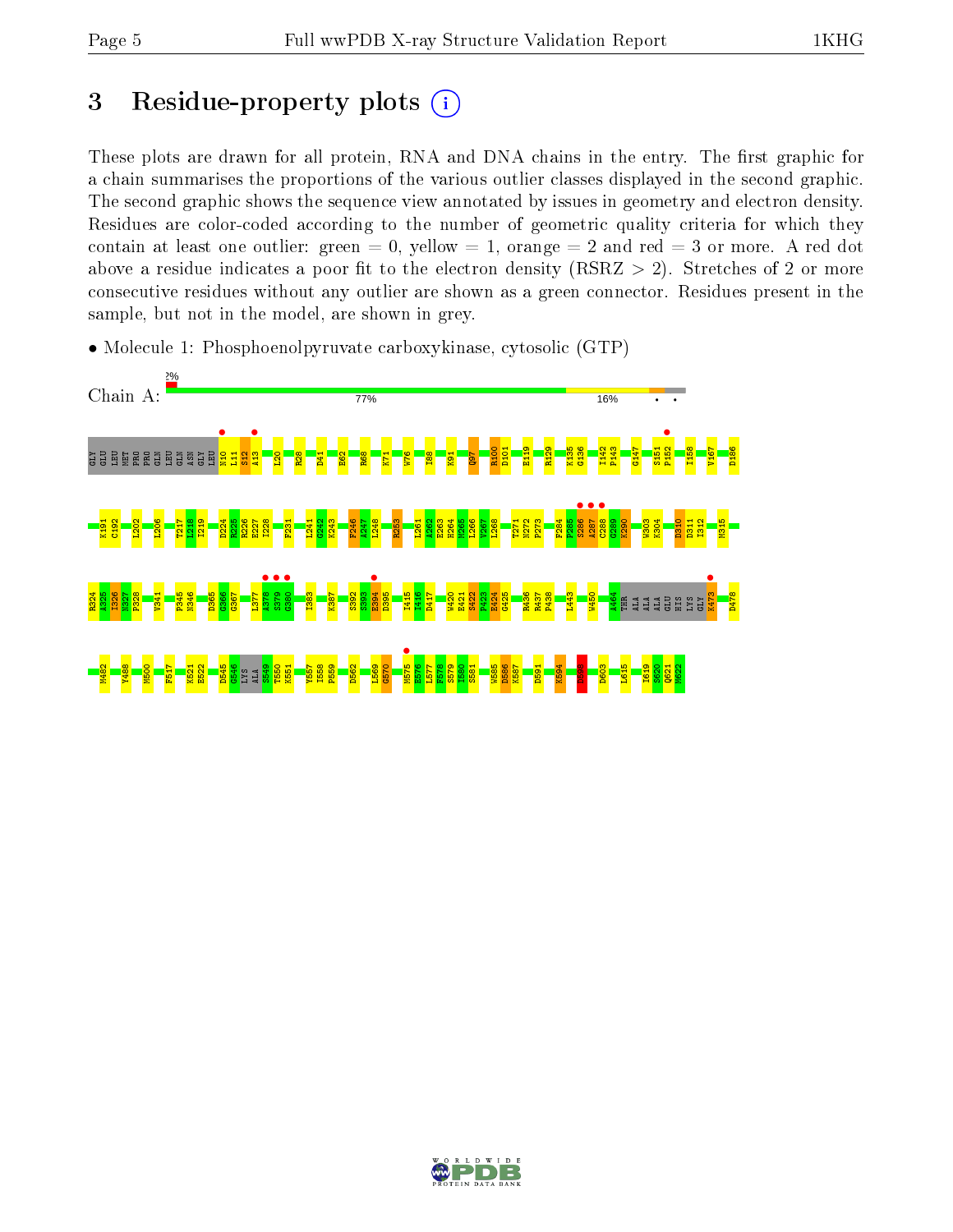# 3 Residue-property plots  $(i)$

These plots are drawn for all protein, RNA and DNA chains in the entry. The first graphic for a chain summarises the proportions of the various outlier classes displayed in the second graphic. The second graphic shows the sequence view annotated by issues in geometry and electron density. Residues are color-coded according to the number of geometric quality criteria for which they contain at least one outlier: green  $= 0$ , yellow  $= 1$ , orange  $= 2$  and red  $= 3$  or more. A red dot above a residue indicates a poor fit to the electron density (RSRZ  $> 2$ ). Stretches of 2 or more consecutive residues without any outlier are shown as a green connector. Residues present in the sample, but not in the model, are shown in grey.



• Molecule 1: Phosphoenolpyruvate carboxykinase, cytosolic (GTP)

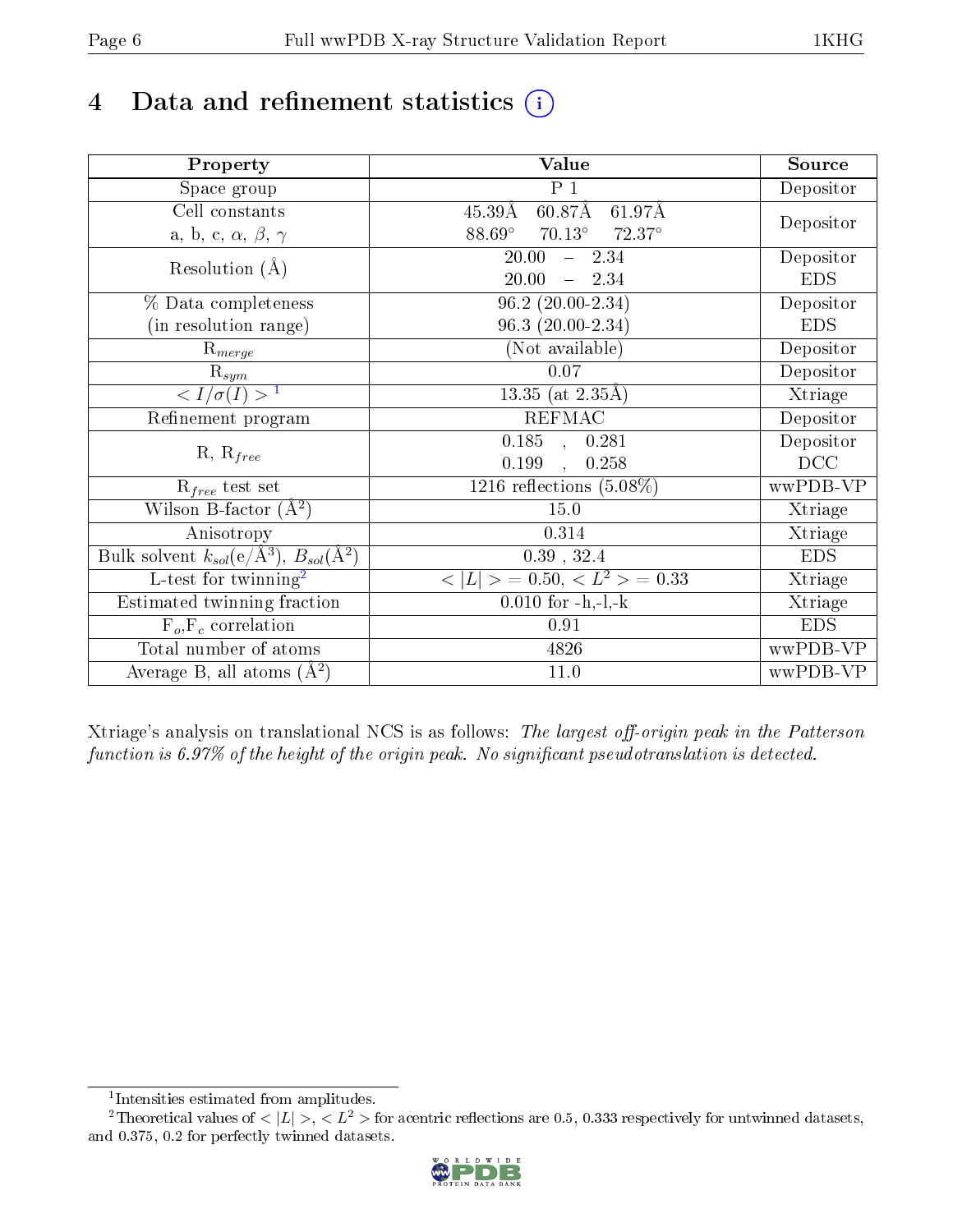# 4 Data and refinement statistics  $(i)$

| Property                                                             | Value                                             | Source     |
|----------------------------------------------------------------------|---------------------------------------------------|------------|
| Space group                                                          | $P_1$                                             | Depositor  |
| Cell constants                                                       | $60.87\text{\AA}$<br>61.97Å<br>$45.39\text{\AA}$  |            |
| a, b, c, $\alpha$ , $\beta$ , $\gamma$                               | $88.69^\circ$<br>$70.13^\circ$<br>$72.37^{\circ}$ | Depositor  |
| Resolution $(A)$                                                     | 20.00<br>$-2.34$                                  | Depositor  |
|                                                                      | 20.00<br>$-2.34$                                  | <b>EDS</b> |
| % Data completeness                                                  | $96.2(20.00-2.34)$                                | Depositor  |
| (in resolution range)                                                | 96.3 (20.00-2.34)                                 | <b>EDS</b> |
| $\mathrm{R}_{merge}$                                                 | (Not available)                                   | Depositor  |
| $\mathrm{R}_{sym}$                                                   | $0.07\,$                                          | Depositor  |
| $\langle I/\sigma(I) \rangle^{-1}$                                   | $\overline{13.35}$ (at 2.35Å)                     | Xtriage    |
| Refinement program                                                   | <b>REFMAC</b>                                     | Depositor  |
|                                                                      | $\overline{0.185}$ ,<br>0.281                     | Depositor  |
| $R, R_{free}$                                                        | 0.199<br>0.258<br>$\overline{\phantom{a}}$        | DCC        |
| $R_{free}$ test set                                                  | 1216 reflections $(5.08\%)$                       | wwPDB-VP   |
| Wilson B-factor $(A^2)$                                              | 15.0                                              | Xtriage    |
| Anisotropy                                                           | 0.314                                             | Xtriage    |
| Bulk solvent $k_{sol}(e/\mathring{A}^3)$ , $B_{sol}(\mathring{A}^2)$ | $0.39$ , $32.4$                                   | <b>EDS</b> |
| $\overline{L-test for}$ twinning <sup>2</sup>                        | $< L >$ = 0.50, $< L2$ = 0.33                     | Xtriage    |
| Estimated twinning fraction                                          | $0.010$ for $-h,-1,-k$                            | Xtriage    |
| $F_o, F_c$ correlation                                               | 0.91                                              | <b>EDS</b> |
| Total number of atoms                                                | 4826                                              | wwPDB-VP   |
| Average B, all atoms $(A^2)$                                         | 11.0                                              | wwPDB-VP   |

Xtriage's analysis on translational NCS is as follows: The largest off-origin peak in the Patterson function is  $6.97\%$  of the height of the origin peak. No significant pseudotranslation is detected.

<sup>&</sup>lt;sup>2</sup>Theoretical values of  $\langle |L| \rangle$ ,  $\langle L^2 \rangle$  for acentric reflections are 0.5, 0.333 respectively for untwinned datasets, and 0.375, 0.2 for perfectly twinned datasets.



<span id="page-5-1"></span><span id="page-5-0"></span><sup>1</sup> Intensities estimated from amplitudes.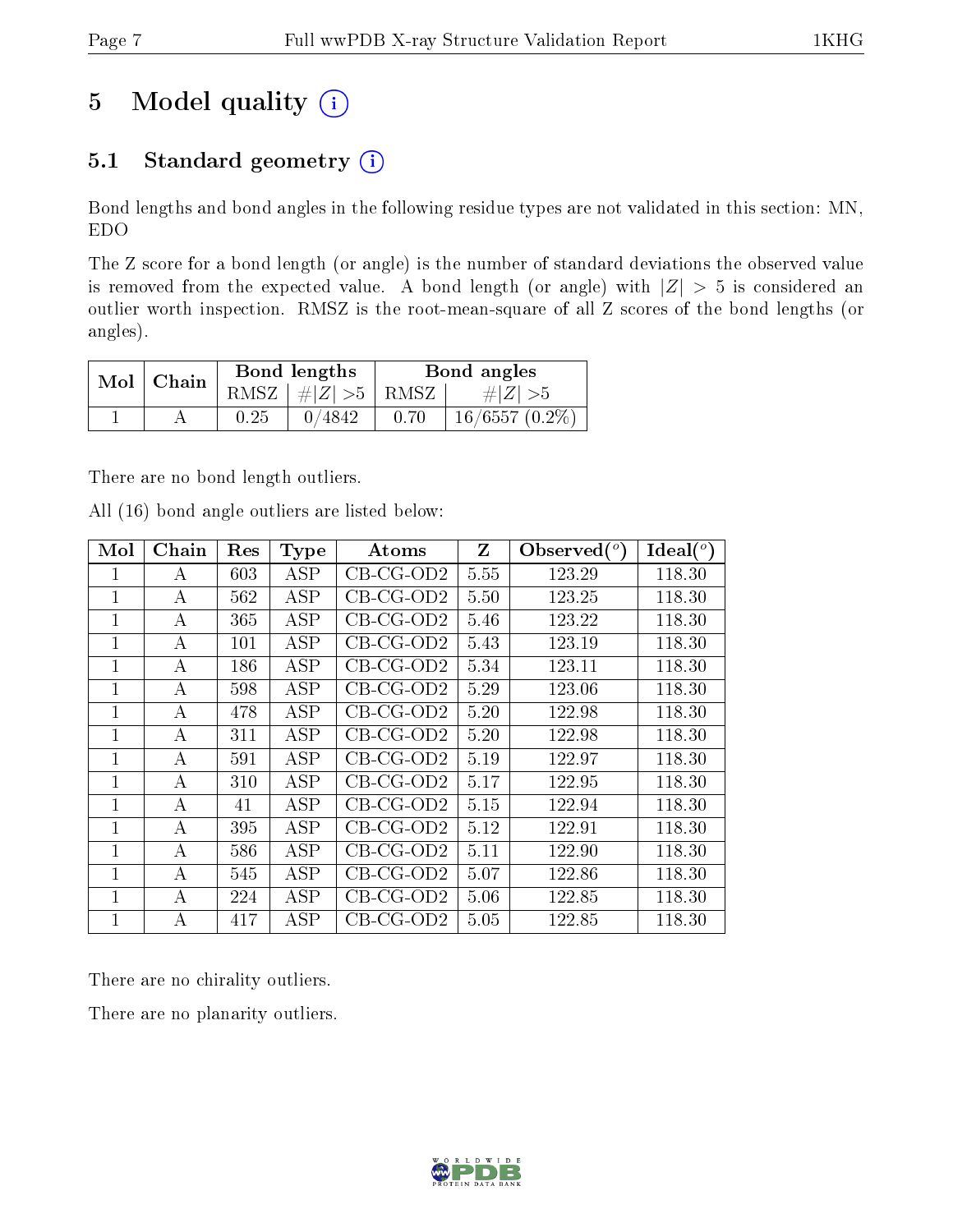# 5 Model quality  $(i)$

## 5.1 Standard geometry  $(i)$

Bond lengths and bond angles in the following residue types are not validated in this section: MN, EDO

The Z score for a bond length (or angle) is the number of standard deviations the observed value is removed from the expected value. A bond length (or angle) with  $|Z| > 5$  is considered an outlier worth inspection. RMSZ is the root-mean-square of all Z scores of the bond lengths (or angles).

| $Mol$   Chain |      | Bond lengths                         | Bond angles |                  |  |
|---------------|------|--------------------------------------|-------------|------------------|--|
|               |      | RMSZ $\vert \#  Z  > 5$ RMSZ $\vert$ |             | $\# Z  > 5$      |  |
|               | 0.25 | 0/4842                               | 0.70        | $16/6557(0.2\%)$ |  |

There are no bond length outliers.

All (16) bond angle outliers are listed below:

| Mol            | Chain | Res | <b>Type</b> | Atoms       | Z    | Observed $(°)$ | Ideal $(^\circ)$ |
|----------------|-------|-----|-------------|-------------|------|----------------|------------------|
| 1              | А     | 603 | ASP         | $CB-CG-OD2$ | 5.55 | 123.29         | 118.30           |
| 1              | А     | 562 | <b>ASP</b>  | $CB-CG-OD2$ | 5.50 | 123.25         | 118.30           |
| 1              | А     | 365 | ASP         | $CB-CG-OD2$ | 5.46 | 123.22         | 118.30           |
| $\mathbf{1}$   | А     | 101 | ASP         | $CB-CG-OD2$ | 5.43 | 123.19         | 118.30           |
| 1              | А     | 186 | ASP         | $CB-CG-OD2$ | 5.34 | 123.11         | 118.30           |
| $\mathbf{1}$   | А     | 598 | ASP         | $CB-CG-OD2$ | 5.29 | 123.06         | 118.30           |
| $\mathbf 1$    | А     | 478 | ASP         | $CB-CG-OD2$ | 5.20 | 122.98         | 118.30           |
| $\mathbf 1$    | А     | 311 | ASP         | $CB-CG-OD2$ | 5.20 | 122.98         | 118.30           |
| $\mathbf{1}$   | А     | 591 | ASP         | $CB-CG-OD2$ | 5.19 | 122.97         | 118.30           |
| $\overline{1}$ | A     | 310 | ASP         | $CB-CG-OD2$ | 5.17 | 122.95         | 118.30           |
| $\mathbf{1}$   | А     | 41  | ASP         | $CB-CG-OD2$ | 5.15 | 122.94         | 118.30           |
| $\mathbf{1}$   | А     | 395 | ASP         | $CB-CG-OD2$ | 5.12 | 122.91         | 118.30           |
| $\mathbf{1}$   | А     | 586 | <b>ASP</b>  | $CB-CG-OD2$ | 5.11 | 122.90         | 118.30           |
| 1              | А     | 545 | ASP         | $CB-CG-OD2$ | 5.07 | 122.86         | 118.30           |
| $\mathbf{1}$   | А     | 224 | ASP         | $CB-CG-OD2$ | 5.06 | 122.85         | 118.30           |
| $\mathbf{1}$   | А     | 417 | ASP         | $CB-CG-OD2$ | 5.05 | 122.85         | 118.30           |

There are no chirality outliers.

There are no planarity outliers.

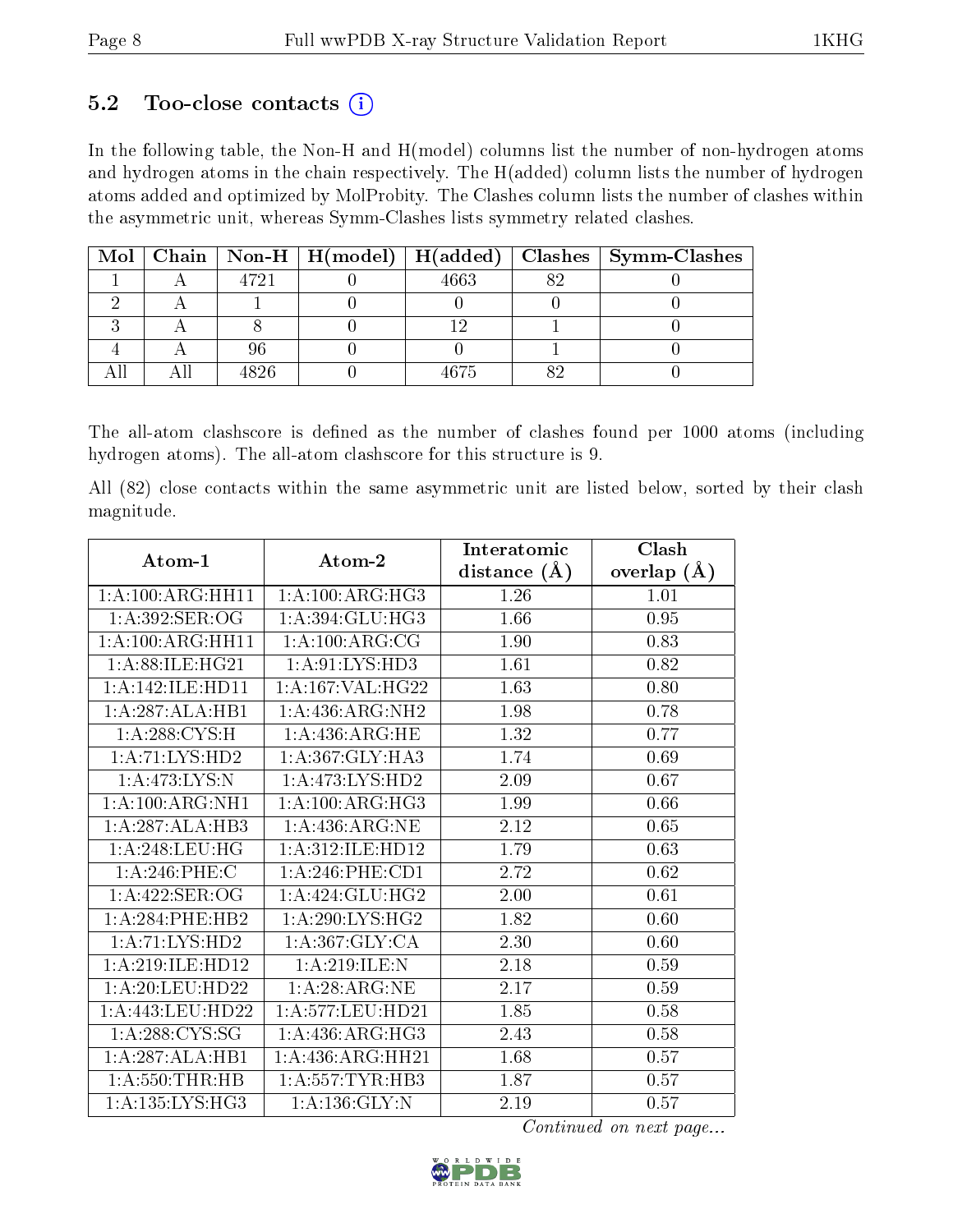### 5.2 Too-close contacts  $(i)$

In the following table, the Non-H and H(model) columns list the number of non-hydrogen atoms and hydrogen atoms in the chain respectively. The H(added) column lists the number of hydrogen atoms added and optimized by MolProbity. The Clashes column lists the number of clashes within the asymmetric unit, whereas Symm-Clashes lists symmetry related clashes.

|  |      | Mol   Chain   Non-H   H(model)   H(added) |      | Clashes   Symm-Clashes |
|--|------|-------------------------------------------|------|------------------------|
|  | 4721 |                                           | 663  |                        |
|  |      |                                           |      |                        |
|  |      |                                           |      |                        |
|  |      |                                           |      |                        |
|  | 4826 |                                           | 1675 |                        |

The all-atom clashscore is defined as the number of clashes found per 1000 atoms (including hydrogen atoms). The all-atom clashscore for this structure is 9.

All (82) close contacts within the same asymmetric unit are listed below, sorted by their clash magnitude.

| Atom-1              | Atom-2               | Interatomic    | Clash         |
|---------------------|----------------------|----------------|---------------|
|                     |                      | distance $(A)$ | overlap $(A)$ |
| 1:A:100:ARG:HH11    | 1: A:100:ARG:HG3     | 1.26           | 1.01          |
| 1:A:392:SER:OG      | 1:A:394:GLU:HG3      | 1.66           | 0.95          |
| 1:A:100:ARG:HH11    | 1:A:100:ARG:CG       | 1.90           | 0.83          |
| 1: A:88: ILE: HG21  | 1: A:91: LYS: HD3    | 1.61           | 0.82          |
| 1:A:142:ILE:HD11    | 1: A: 167: VAL:HG22  | 1.63           | 0.80          |
| 1:A:287:ALA:HB1     | 1:A:436:ARG:NH2      | 1.98           | 0.78          |
| 1: A:288: CYS:H     | 1:A:436:ARG:HE       | 1.32           | 0.77          |
| 1:A:71:LYS:HD2      | 1:A:367:GLY:HA3      | 1.74           | 0.69          |
| 1:A:473:LYS:N       | 1: A:473: LYS: HD2   | 2.09           | 0.67          |
| 1:A:100:ARG:NH1     | 1: A:100:ARG:HG3     | 1.99           | 0.66          |
| 1:A:287:ALA:HB3     | 1: A:436:ARG:NE      | 2.12           | 0.65          |
| 1:A:248:LEU:HG      | 1:A:312:ILE:HD12     | 1.79           | 0.63          |
| 1: A:246:PHE:C      | $1: A:246:$ PHE:CD1  | 2.72           | 0.62          |
| 1:A:422:SER:OG      | 1:A:424:GLU:HG2      | 2.00           | 0.61          |
| 1: A:284:PHE:HB2    | 1:A:290:LYS:HG2      | 1.82           | 0.60          |
| 1:A:71:LYS:HD2      | 1: A: 367: GLY: CA   | 2.30           | 0.60          |
| 1:A:219:ILE:HD12    | 1: A:219: ILE:N      | 2.18           | 0.59          |
| 1: A:20:LEU:HD22    | 1:A:28:ARG:NE        | 2.17           | 0.59          |
| 1: A:443:LEU:HD22   | 1: A: 577: LEU: HD21 | 1.85           | 0.58          |
| 1: A:288:CYS:SG     | 1: A:436:ARG:HG3     | 2.43           | 0.58          |
| 1:A:287:ALA:HB1     | 1: A: 436: ARG: HH21 | 1.68           | 0.57          |
| 1:A:550:THR:HB      | 1: A: 557: TYR: HB3  | 1.87           | 0.57          |
| 1: A: 135: LYS: HG3 | 1: A: 136: GLY: N    | 2.19           | 0.57          |

Continued on next page...

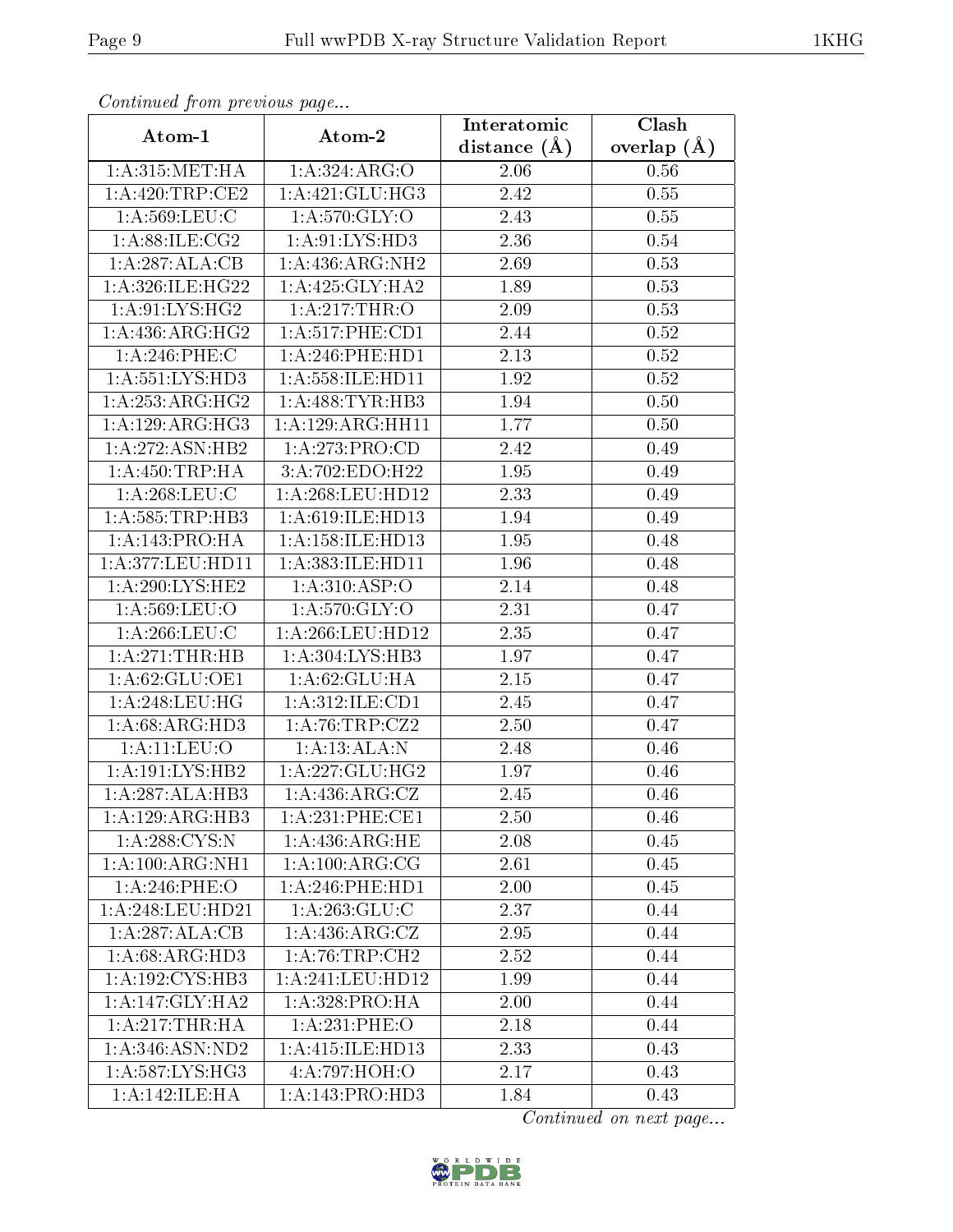| Continuea from previous page |                      | Interatomic       | Clash           |  |
|------------------------------|----------------------|-------------------|-----------------|--|
| Atom-1                       | Atom-2               | distance $(A)$    | overlap $(\AA)$ |  |
| 1: A:315: MET:HA             | 1:A:324:ARG:O        | 2.06              | 0.56            |  |
| 1: A:420:TRP:CE2             | 1: A:421: GLU:HG3    | $\overline{2}.42$ | 0.55            |  |
| 1: A:569:LEU:C               | 1: A:570: GLY:O      | 2.43              | 0.55            |  |
| 1: A:88: ILE: CG2            | 1:A:91:LYS:HD3       | 2.36              | 0.54            |  |
| 1:A:287:ALA:CB               | 1: A: 436: ARG: NH2  | 2.69              | 0.53            |  |
| 1:A:326:ILE:HG22             | 1: A:425: GLY:HA2    | 1.89              | 0.53            |  |
| 1: A:91: LYS: HG2            | 1:A:217:THR:O        | 2.09              | 0.53            |  |
| 1: A: 436: ARG: HG2          | 1: A:517:PHE:CD1     | 2.44              | 0.52            |  |
| 1:A:246:PHE:C                | 1:A:246:PHE:HD1      | 2.13              | 0.52            |  |
| 1: A: 551: LYS: HD3          | 1: A: 558: ILE: HD11 | 1.92              | 0.52            |  |
| 1:A:253:ARG:HG2              | 1: A:488: TYR:HB3    | 1.94              | 0.50            |  |
| 1:A:129:ARG:HG3              | 1:A:129:ARG:HH11     | 1.77              | $0.50\,$        |  |
| 1: A:272: ASN:HB2            | 1:A:273:PRO:CD       | 2.42              | 0.49            |  |
| 1: A: 450: TRP: HA           | 3:A:702:EDO:H22      | 1.95              | 0.49            |  |
| 1: A:268:LEU:C               | 1:A:268:LEU:HD12     | 2.33              | 0.49            |  |
| 1: A: 585: TRP: HB3          | 1:A:619:ILE:HD13     | 1.94              | 0.49            |  |
| 1:A:143:PRO:HA               | 1: A: 158: ILE: HD13 | 1.95              | 0.48            |  |
| 1:A:377:LEU:HD11             | 1:A:383:ILE:HD11     | 1.96              | 0.48            |  |
| 1:A:290:LYS:HE2              | 1: A:310: ASP:O      | 2.14              | 0.48            |  |
| 1: A:569:LEU:O               | 1: A:570: GLY:O      | 2.31              | 0.47            |  |
| 1: A:266:LEU:C               | 1: A:266:LEU:HD12    | 2.35              | 0.47            |  |
| 1: A:271:THR:HB              | 1:A:304:LYS:HB3      | 1.97              | 0.47            |  |
| 1: A:62: GLU:OE1             | 1: A:62: GLU: HA     | 2.15              | 0.47            |  |
| 1:A:248:LEU:HG               | 1:A:312:ILE:CD1      | 2.45              | 0.47            |  |
| 1: A:68: ARG:HD3             | 1:A:76:TRP:CZ2       | 2.50              | 0.47            |  |
| 1: A:11:LEV:O                | 1:A:13:ALA:N         | $\overline{2}.48$ | 0.46            |  |
| 1: A: 191: LYS: HB2          | 1: A: 227: GLU: HG2  | 1.97              | 0.46            |  |
| 1:A:287:ALA:HB3              | 1: A: 436: ARG: CZ   | 2.45              | 0.46            |  |
| 1:A:129:ARG:HB3              | 1: A:231:PHE:CE1     | 2.50              | 0.46            |  |
| 1:A:288:CYS:N                | 1: A:436:ARG:HE      | 2.08              | 0.45            |  |
| 1:A:100:ARG:NH1              | 1: A:100:ARG:CG      | 2.61              | 0.45            |  |
| 1:A:246:PHE:O                | 1: A:246:PHE:HD1     | 2.00              | 0.45            |  |
| 1: A:248:LEU:HD21            | 1: A:263: GLU: C     | 2.37              | 0.44            |  |
| 1:A:287:ALA:CB               | 1: A: 436: ARG: CZ   | 2.95              | 0.44            |  |
| 1: A:68: ARG:HD3             | 1: A:76:TRP:CH2      | 2.52              | 0.44            |  |
| 1:A:192:CYS:HB3              | 1:A:241:LEU:HD12     | 1.99              | 0.44            |  |
| 1:A:147:GLY:HA2              | 1: A:328: PRO:HA     | 2.00              | 0.44            |  |
| 1:A:217:THR:HA               | $1: A:231:$ PHE: $O$ | 2.18              | 0.44            |  |
| 1: A:346: ASN:ND2            | 1: A: 415: ILE: HD13 | 2.33              | 0.43            |  |
| 1: A:587:LYS:HG3             | 4:A:797:HOH:O        | 2.17              | 0.43            |  |
| 1: A:142: ILE: HA            | 1:A:143:PRO:HD3      | 1.84              | 0.43            |  |

Continued from previous page.

Continued on next page...

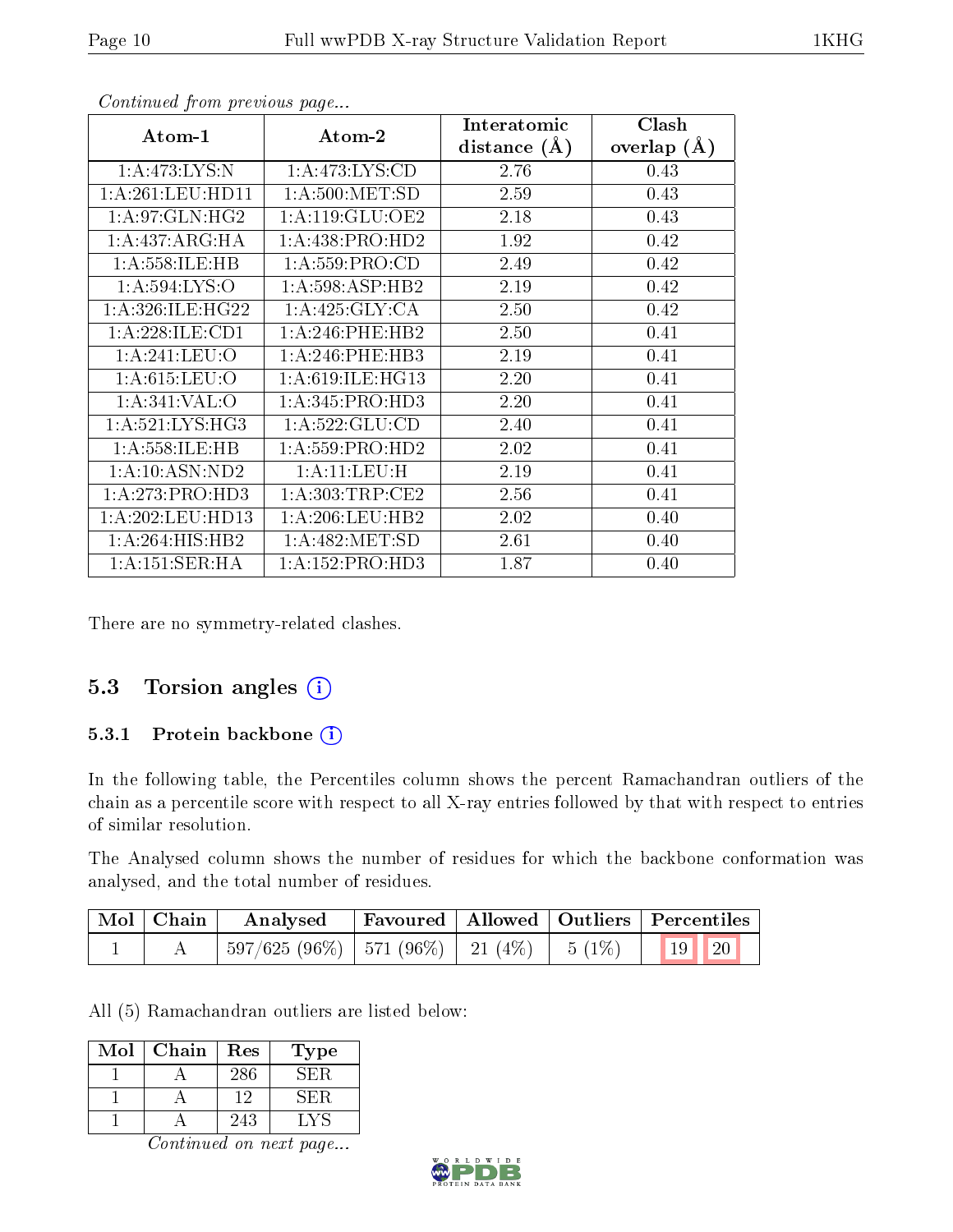| Atom-1              | Atom-2              | Interatomic      | Clash         |
|---------------------|---------------------|------------------|---------------|
|                     |                     | distance $(\AA)$ | overlap $(A)$ |
| 1: A:473: LYS:N     | 1: A:473: LYS:CD    | 2.76             | 0.43          |
| 1: A:261:LEU:HD11   | 1: A:500:MET:SD     | 2.59             | 0.43          |
| 1: A:97: GLN: HG2   | 1: A:119: GLU:OE2   | 2.18             | 0.43          |
| 1: A:437: ARG: HA   | 1: A: 438: PRO: HD2 | 1.92             | 0.42          |
| 1:A:558:ILE:HB      | 1: A: 559: PRO:CD   | 2.49             | 0.42          |
| 1: A: 594: LYS: O   | 1:A:598:ASP:HB2     | 2.19             | 0.42          |
| 1: A:326: ILE: HG22 | 1:A:425:GLY:CA      | 2.50             | 0.42          |
| 1:A:228:ILE:CD1     | 1: A:246:PHE:HB2    | 2.50             | 0.41          |
| 1: A:241:LEU:O      | 1: A:246:PHE:HB3    | 2.19             | 0.41          |
| 1: A:615:LEU:O      | 1:A:619:ILE:HG13    | 2.20             | 0.41          |
| 1:A:341:VAL:O       | 1: A:345: PRO:HD3   | 2.20             | 0.41          |
| 1: A:521: LYS: HG3  | 1: A: 522: GLU: CD  | 2.40             | 0.41          |
| 1: A: 558: ILE: HB  | 1: A: 559: PRO: HD2 | 2.02             | 0.41          |
| 1:A:10:ASN:ND2      | 1: A: 11: LEU: H    | 2.19             | 0.41          |
| 1:A:273:PRO:HD3     | 1: A: 303: TRP: CE2 | 2.56             | 0.41          |
| 1: A:202:LEU:HD13   | 1: A:206:LEU:HB2    | 2.02             | 0.40          |
| 1: A:264: HIS: HB2  | 1: A:482: MET:SD    | 2.61             | 0.40          |
| 1: A:151:SER:HA     | 1:A:152:PRO:HD3     | 1.87             | 0.40          |

Continued from previous page...

There are no symmetry-related clashes.

#### 5.3 Torsion angles  $(i)$

#### 5.3.1 Protein backbone (i)

In the following table, the Percentiles column shows the percent Ramachandran outliers of the chain as a percentile score with respect to all X-ray entries followed by that with respect to entries of similar resolution.

The Analysed column shows the number of residues for which the backbone conformation was analysed, and the total number of residues.

| $\mid$ Mol $\mid$ Chain $\mid$ | Analysed Favoured   Allowed   Outliers   Percentiles                        |  |  |  |
|--------------------------------|-----------------------------------------------------------------------------|--|--|--|
|                                | $\mid 597/625 (96\%) \mid 571 (96\%) \mid 21 (4\%) \mid 5 (1\%) \mid 19$ 20 |  |  |  |

All (5) Ramachandran outliers are listed below:

| Mol | Chain | Res | L'ype  |
|-----|-------|-----|--------|
|     |       | 286 | . н. н |
|     |       | 19  | √H¦R   |
|     |       | 243 |        |

Continued on next page...

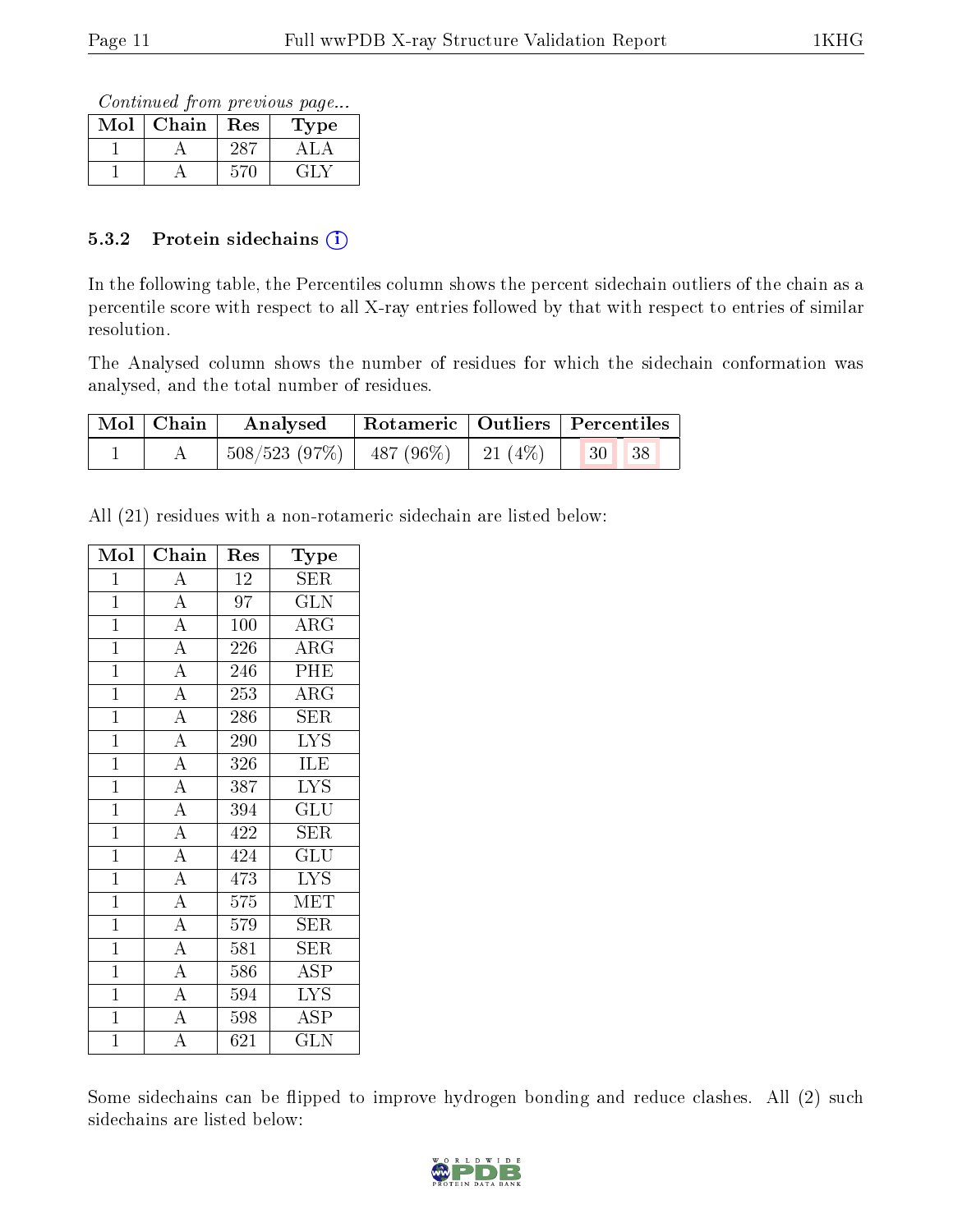Continued from previous page...

| $\operatorname{Mol}$ | Chain | Res | ype   |
|----------------------|-------|-----|-------|
|                      |       |     |       |
|                      |       |     | ب الت |

#### 5.3.2 Protein sidechains  $(i)$

In the following table, the Percentiles column shows the percent sidechain outliers of the chain as a percentile score with respect to all X-ray entries followed by that with respect to entries of similar resolution.

The Analysed column shows the number of residues for which the sidechain conformation was analysed, and the total number of residues.

| Mol   Chain | Analysed                                 | Rotameric   Outliers   Percentiles |                                                                         |  |
|-------------|------------------------------------------|------------------------------------|-------------------------------------------------------------------------|--|
|             | $508/523$ (97\%)   487 (96\%)   21 (4\%) |                                    | $\begin{array}{ c c c c c }\n\hline\n & 30 & \ldots \end{array}$<br> 38 |  |

All (21) residues with a non-rotameric sidechain are listed below:

| Mol            | Chain                               | Res             | Type                            |
|----------------|-------------------------------------|-----------------|---------------------------------|
| $\mathbf{1}$   | $\rm A$                             | 12              | <b>SER</b>                      |
| $\overline{1}$ | $\overline{A}$                      | $\overline{97}$ | $\overline{\text{GLN}}$         |
| $\mathbf{1}$   | $\overline{A}$                      | 100             | $\rm{ARG}$                      |
| $\overline{1}$ | $\frac{\overline{A}}{\overline{A}}$ | 226             | $\rm{ARG}$                      |
| $\overline{1}$ |                                     | 246             | PHE                             |
| $\overline{1}$ | $\overline{A}$                      | 253             | $\rm{ARG}$                      |
| $\overline{1}$ | $\overline{A}$                      | 286             | $\overline{\text{SER}}$         |
| $\mathbf{1}$   | $\overline{A}$                      | 290             | <b>LYS</b>                      |
| $\overline{1}$ | $\overline{A}$                      | 326             | <b>ILE</b>                      |
| $\overline{1}$ | $\overline{A}$                      | 387             | $\overline{\text{L} \text{YS}}$ |
| $\overline{1}$ | $\overline{A}$                      | 394             | GLU                             |
| $\overline{1}$ | $\overline{A}$                      | 422             | SER                             |
| $\mathbf{1}$   | $\overline{A}$                      | 424             | $\overline{{\rm GLU}}$          |
| $\overline{1}$ | $\frac{1}{\overline{A}}$            | 473             | $\overline{I} \overline{Y} S$   |
| $\mathbf{1}$   | $\overline{A}$                      | 575             | MET                             |
| $\overline{1}$ | $\overline{A}$                      | 579             | <b>SER</b>                      |
| $\overline{1}$ | $\overline{A}$                      | 581             | <b>SER</b>                      |
| $\mathbf{1}$   | $\overline{\rm A}$                  | 586             | ASP                             |
| $\overline{1}$ | $\overline{A}$                      | 594             | $\overline{\text{LYS}}$         |
| $\mathbf{1}$   | $\frac{A}{A}$                       | 598             | <b>ASP</b>                      |
| $\overline{1}$ |                                     | 621             | GLN                             |

Some sidechains can be flipped to improve hydrogen bonding and reduce clashes. All (2) such sidechains are listed below:

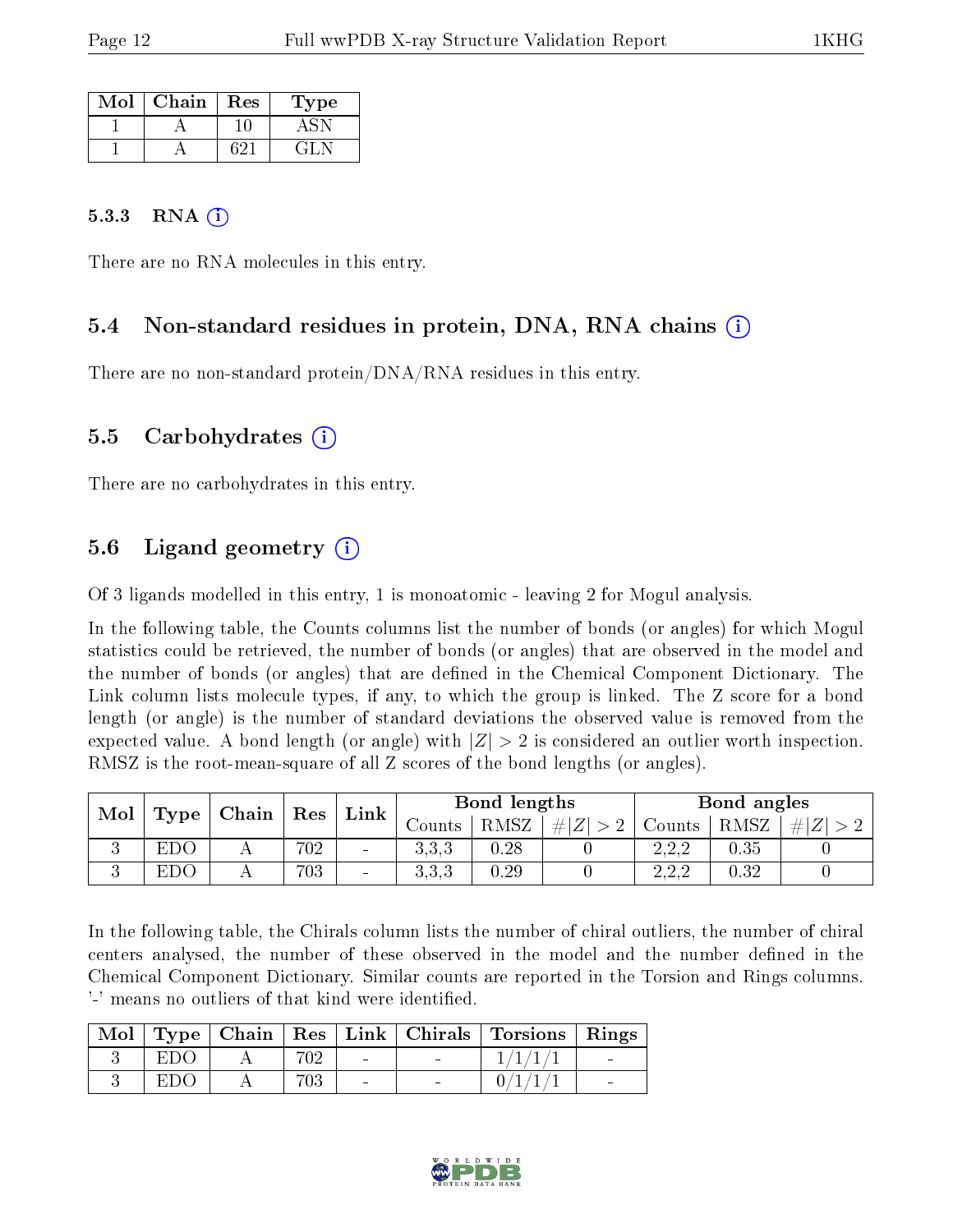| Mol | Chain | $\operatorname{Res}% \left( \mathcal{N}\right) \equiv\operatorname{Res}(\mathcal{N}_{0},\mathcal{N}_{0})$ | Type      |
|-----|-------|-----------------------------------------------------------------------------------------------------------|-----------|
|     |       |                                                                                                           |           |
|     |       | 691                                                                                                       | $\pm 1$ . |

#### 5.3.3 RNA  $(i)$

There are no RNA molecules in this entry.

#### 5.4 Non-standard residues in protein, DNA, RNA chains (i)

There are no non-standard protein/DNA/RNA residues in this entry.

#### 5.5 Carbohydrates (i)

There are no carbohydrates in this entry.

### 5.6 Ligand geometry  $(i)$

Of 3 ligands modelled in this entry, 1 is monoatomic - leaving 2 for Mogul analysis.

In the following table, the Counts columns list the number of bonds (or angles) for which Mogul statistics could be retrieved, the number of bonds (or angles) that are observed in the model and the number of bonds (or angles) that are defined in the Chemical Component Dictionary. The Link column lists molecule types, if any, to which the group is linked. The Z score for a bond length (or angle) is the number of standard deviations the observed value is removed from the expected value. A bond length (or angle) with  $|Z| > 2$  is considered an outlier worth inspection. RMSZ is the root-mean-square of all Z scores of the bond lengths (or angles).

| Mol |      |     |     |                          |          |      |         |        |      |         |  |  |  |  | $\vert$ Chain $\vert$ Res | $\mathop{\rm Link}\nolimits$ |  | Bond lengths |  |  | Bond angles |  |
|-----|------|-----|-----|--------------------------|----------|------|---------|--------|------|---------|--|--|--|--|---------------------------|------------------------------|--|--------------|--|--|-------------|--|
|     | Type |     |     |                          | Counts - | RMSZ | $\# Z $ | Counts | RMSZ | $\ E\ $ |  |  |  |  |                           |                              |  |              |  |  |             |  |
| ◡   | EDO  | 7 T | 702 | $\sim$                   | 3,3,3    | 0.28 |         | າາາ    | 0.35 |         |  |  |  |  |                           |                              |  |              |  |  |             |  |
|     | EDO  |     | 703 | $\overline{\phantom{a}}$ | 3.3.3    | 0.29 |         | າາາ    | 0.32 |         |  |  |  |  |                           |                              |  |              |  |  |             |  |

In the following table, the Chirals column lists the number of chiral outliers, the number of chiral centers analysed, the number of these observed in the model and the number defined in the Chemical Component Dictionary. Similar counts are reported in the Torsion and Rings columns. '-' means no outliers of that kind were identified.

|     |     |        | Mol   Type   Chain   Res   Link   Chirals   Torsions   Rings |  |
|-----|-----|--------|--------------------------------------------------------------|--|
| EDO | 702 | $\sim$ |                                                              |  |
| EDC | 703 |        |                                                              |  |

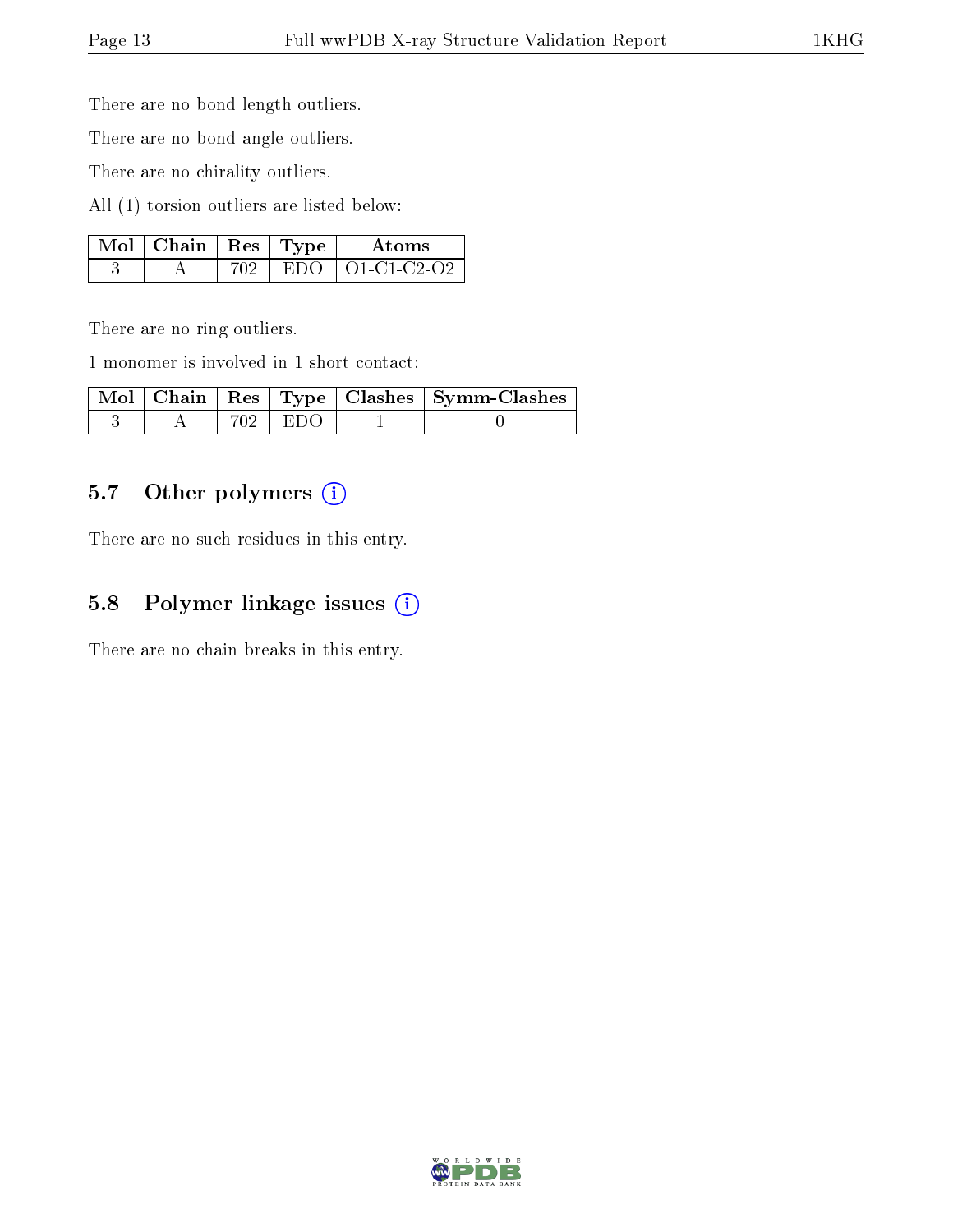There are no bond length outliers.

There are no bond angle outliers.

There are no chirality outliers.

All (1) torsion outliers are listed below:

| $\mid$ Mol $\mid$ Chain $\mid$ Res $\mid$ Type |  | Atoms                  |
|------------------------------------------------|--|------------------------|
|                                                |  | $EDO$   $O1$ -C1-C2-O2 |

There are no ring outliers.

1 monomer is involved in 1 short contact:

|  |         | Mol   Chain   Res   Type   Clashes   Symm-Clashes |
|--|---------|---------------------------------------------------|
|  | 702 EDO |                                                   |

### 5.7 [O](https://www.wwpdb.org/validation/2017/XrayValidationReportHelp#nonstandard_residues_and_ligands)ther polymers (i)

There are no such residues in this entry.

### 5.8 Polymer linkage issues (i)

There are no chain breaks in this entry.

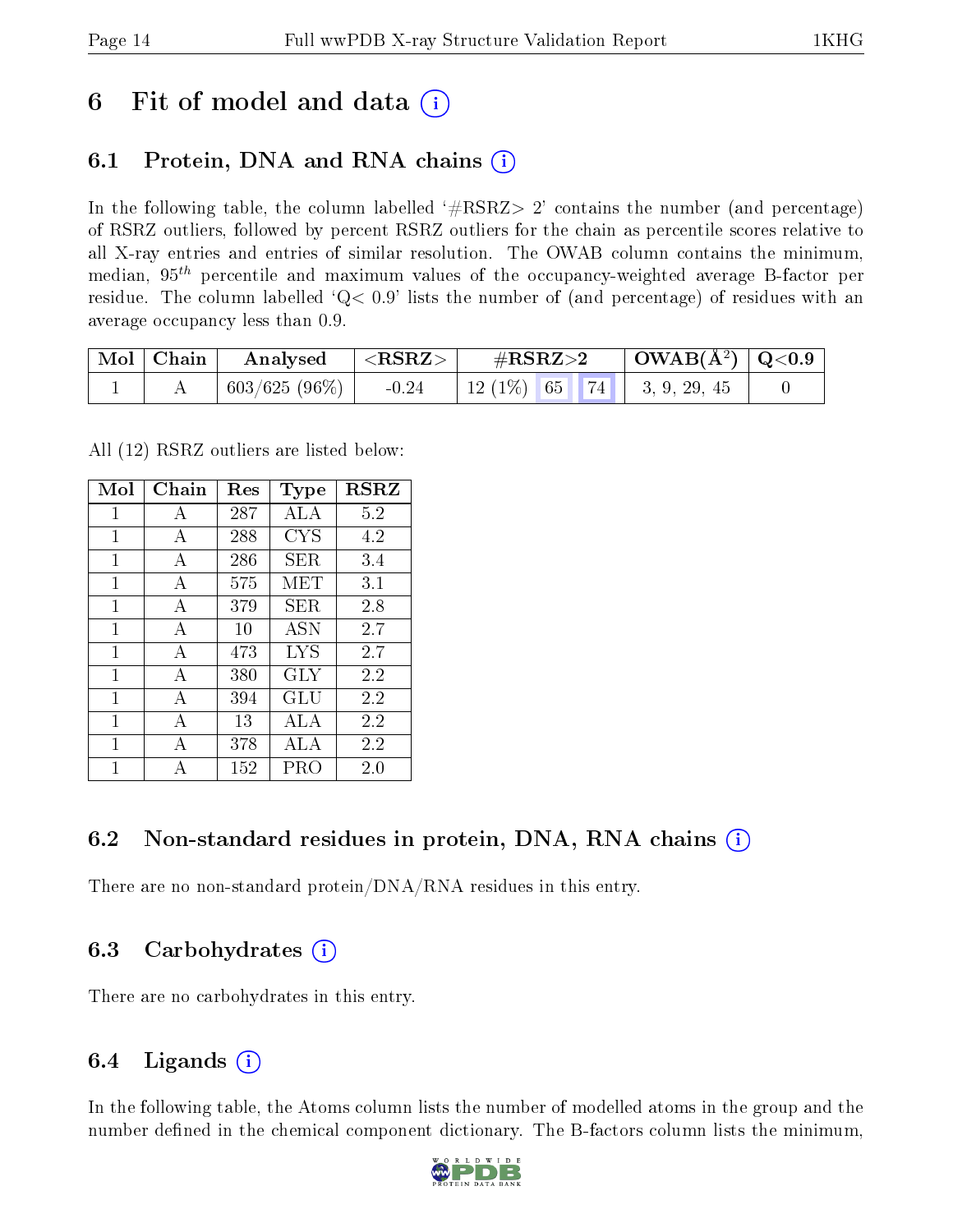# 6 Fit of model and data  $\circ$

## 6.1 Protein, DNA and RNA chains (i)

In the following table, the column labelled  $#RSRZ>2'$  contains the number (and percentage) of RSRZ outliers, followed by percent RSRZ outliers for the chain as percentile scores relative to all X-ray entries and entries of similar resolution. The OWAB column contains the minimum, median,  $95<sup>th</sup>$  percentile and maximum values of the occupancy-weighted average B-factor per residue. The column labelled  $Q< 0.9$  lists the number of (and percentage) of residues with an average occupancy less than 0.9.

| $\blacksquare$ Mol $\vert$ Chain | Analysed        | ${ <\hspace{-1.5pt} {\rm RSRZ}\hspace{-1.5pt}>}$ | $\#RSRZ\!\!>\!2$                  | $\mid$ OWAB(Å <sup>2</sup> ) $\mid$ Q<0.9 $\mid$ |  |
|----------------------------------|-----------------|--------------------------------------------------|-----------------------------------|--------------------------------------------------|--|
|                                  | $603/625(96\%)$ | $-0.24$                                          | 12 (1\%)   65   74   3, 9, 29, 45 |                                                  |  |

All (12) RSRZ outliers are listed below:

| Mol | Chain        | $\operatorname{Res}% \left( \mathcal{N}\right) \equiv\operatorname{Res}(\mathcal{N}_{0})\cap\mathcal{N}_{1}$ | Type       | <b>RSRZ</b> |
|-----|--------------|--------------------------------------------------------------------------------------------------------------|------------|-------------|
| 1   | A            | 287                                                                                                          | ALA        | 5.2         |
| 1   | A            | 288                                                                                                          | <b>CYS</b> | 4.2         |
| 1   | A            | 286                                                                                                          | SER.       | 3.4         |
| 1   | А            | 575                                                                                                          | MET        | 3.1         |
| 1   | A            | 379                                                                                                          | SER.       | 2.8         |
| 1   | А            | 10                                                                                                           | <b>ASN</b> | 2.7         |
| 1   | $\mathbf{A}$ | 473                                                                                                          | LYS        | 2.7         |
| 1   | A            | 380                                                                                                          | <b>GLY</b> | 2.2         |
| 1   | А            | 394                                                                                                          | GLU        | 2.2         |
| 1   | A            | 13                                                                                                           | ALA        | 2.2         |
| 1   | А            | 378                                                                                                          | ALA        | 2.2         |
| 1   |              | 152                                                                                                          | PRO        | 2.0         |

### 6.2 Non-standard residues in protein, DNA, RNA chains  $(i)$

There are no non-standard protein/DNA/RNA residues in this entry.

### 6.3 Carbohydrates (i)

There are no carbohydrates in this entry.

## 6.4 Ligands  $(i)$

In the following table, the Atoms column lists the number of modelled atoms in the group and the number defined in the chemical component dictionary. The B-factors column lists the minimum,